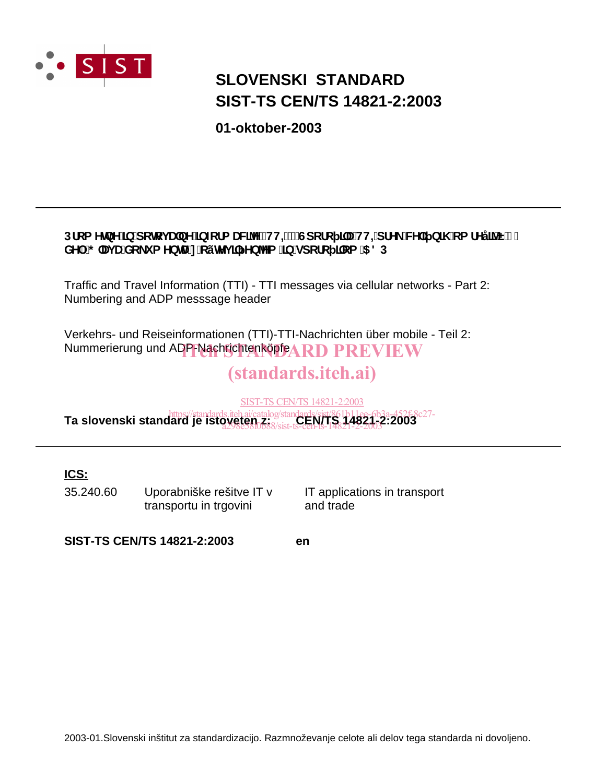

## **SIST-TS CEN/TS 14821-2:2003 SLOVENSKI STANDARD**

**01-oktober-2003**

### Dfca YlbY']b'dclcj UbY']bZtfa UNYY'fHHŁ!'Gdcfc ]'U'HH=dfY\_'WY'] b]\ 'ca fYy']<sup>x'</sup>E'&" XY.; `Uj UXc\_i a YbHJn`cýhYj ]` Yb^Ya ']b`gdcfc ]`ca '58D

Traffic and Travel Information (TTI) - TTI messages via cellular networks - Part 2: Numbering and ADP messsage header

Verkehrs- und Reiseinformationen (TTI)-TTI-Nachrichten über mobile - Teil 2: Nummerierung und ADP-Nachrichtenköpfe $\bf{R}$ D PREVIEW

## (standards.iteh.ai)

SIST-TS CEN/TS 14821-2:2003

https://standards.iteh.ai/catalog/standards/sist/861b11ee-6b3a-452f-8c27-<br>**Ta slovenski standard je istoveten.z.** *elem.it. CEN/T***<sub>1</sub>S, 14821, 2:2003** a298e58f0b88/sist-ts-cen-ts-14821-2-2003

### **ICS:**

35.240.60 Uporabniške rešitve IT v transportu in trgovini

IT applications in transport and trade

**SIST-TS CEN/TS 14821-2:2003 en**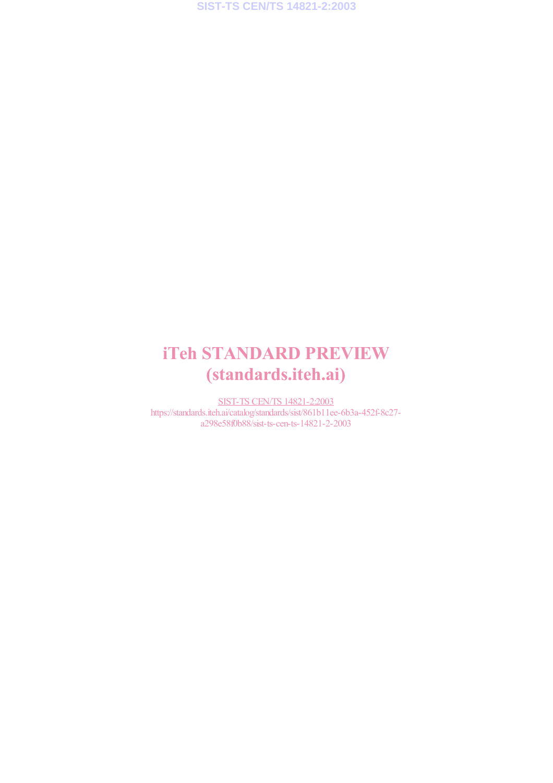# iTeh STANDARD PREVIEW (standards.iteh.ai)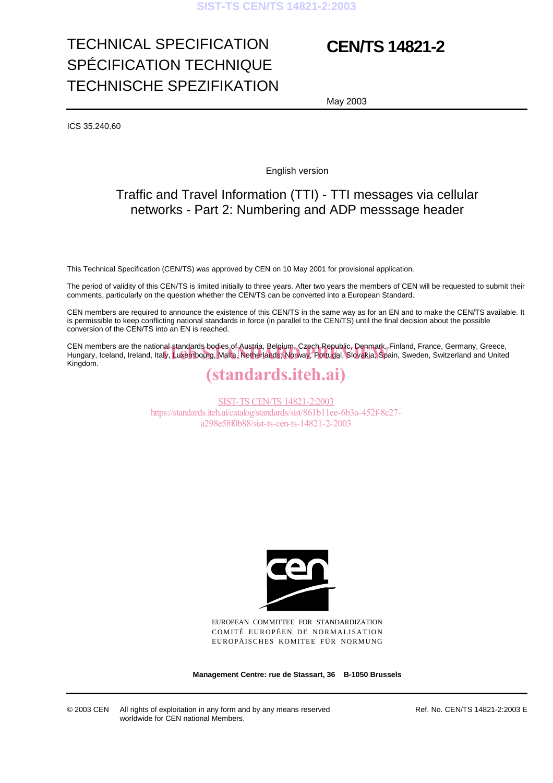## TECHNICAL SPECIFICATION SPÉCIFICATION TECHNIQUE TECHNISCHE SPEZIFIKATION

## **CEN/TS 14821-2**

May 2003

ICS 35.240.60

English version

## Traffic and Travel Information (TTI) - TTI messages via cellular networks - Part 2: Numbering and ADP messsage header

This Technical Specification (CEN/TS) was approved by CEN on 10 May 2001 for provisional application.

The period of validity of this CEN/TS is limited initially to three years. After two years the members of CEN will be requested to submit their comments, particularly on the question whether the CEN/TS can be converted into a European Standard.

CEN members are required to announce the existence of this CEN/TS in the same way as for an EN and to make the CEN/TS available. It is permissible to keep conflicting national standards in force (in parallel to the CEN/TS) until the final decision about the possible conversion of the CEN/TS into an EN is reached.

CEN members are the national standards bodies of Austria, Belgium, Czech Republic, Denmark, Finland, France, Germany, Greece, CEN members are the national-standards-bodies of Austria, Belgium, Czech Republic, Denmark, Finland, France, Germany, Greece,<br>Hungary, Iceland, Ireland, Italy, Luxembourg, Malta, Netherlands, Norway, Portugal, Slovakia, Sp Kingdom.

## (standards.iteh.ai)

SIST-TS CEN/TS 14821-2:2003 https://standards.iteh.ai/catalog/standards/sist/861b11ee-6b3a-452f-8c27 a298e58f0b88/sist-ts-cen-ts-14821-2-2003



EUROPEAN COMMITTEE FOR STANDARDIZATION COMITÉ EUROPÉEN DE NORMALISATION EUROPÄISCHES KOMITEE FÜR NORMUNG

**Management Centre: rue de Stassart, 36 B-1050 Brussels**

© 2003 CEN All rights of exploitation in any form and by any means reserved worldwide for CEN national Members.

Ref. No. CEN/TS 14821-2:2003 E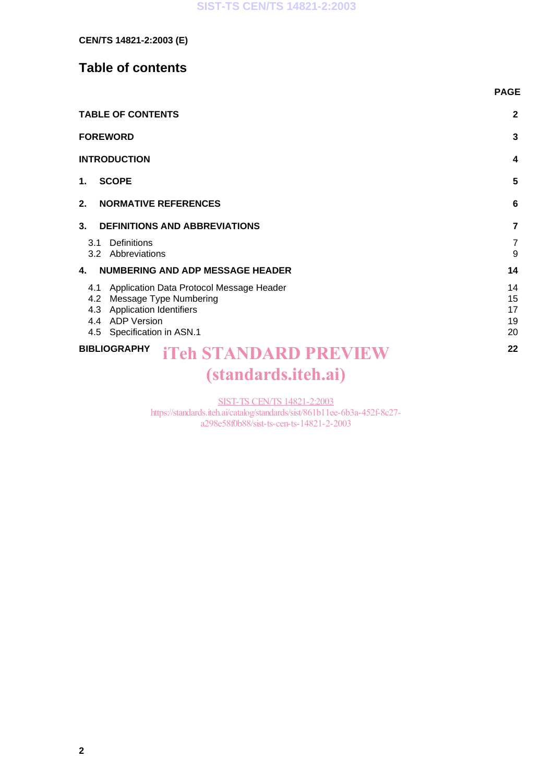## **Table of contents**

|                                                                                                                                                               | <b>PAGE</b>                |
|---------------------------------------------------------------------------------------------------------------------------------------------------------------|----------------------------|
| <b>TABLE OF CONTENTS</b>                                                                                                                                      | $\mathbf{2}$               |
| <b>FOREWORD</b>                                                                                                                                               | 3                          |
| <b>INTRODUCTION</b>                                                                                                                                           | 4                          |
| <b>SCOPE</b><br>1.                                                                                                                                            | 5                          |
| 2.<br><b>NORMATIVE REFERENCES</b>                                                                                                                             | 6                          |
| 3.<br><b>DEFINITIONS AND ABBREVIATIONS</b>                                                                                                                    | $\overline{7}$             |
| Definitions<br>3.1<br>3.2<br>Abbreviations                                                                                                                    | $\overline{7}$<br>9        |
| <b>NUMBERING AND ADP MESSAGE HEADER</b><br>4.                                                                                                                 | 14                         |
| Application Data Protocol Message Header<br>4.1<br>4.2 Message Type Numbering<br>4.3 Application Identifiers<br>4.4 ADP Version<br>4.5 Specification in ASN.1 | 14<br>15<br>17<br>19<br>20 |
| <b>BIBLIOGRAPHY</b><br><b>iTeh STANDARD PREVIEW</b>                                                                                                           | 22                         |
| <i>(standards.iteh.ai)</i>                                                                                                                                    |                            |

SIST-TS CEN/TS 14821-2:2003

https://standards.iteh.ai/catalog/standards/sist/861b11ee-6b3a-452f-8c27 a298e58f0b88/sist-ts-cen-ts-14821-2-2003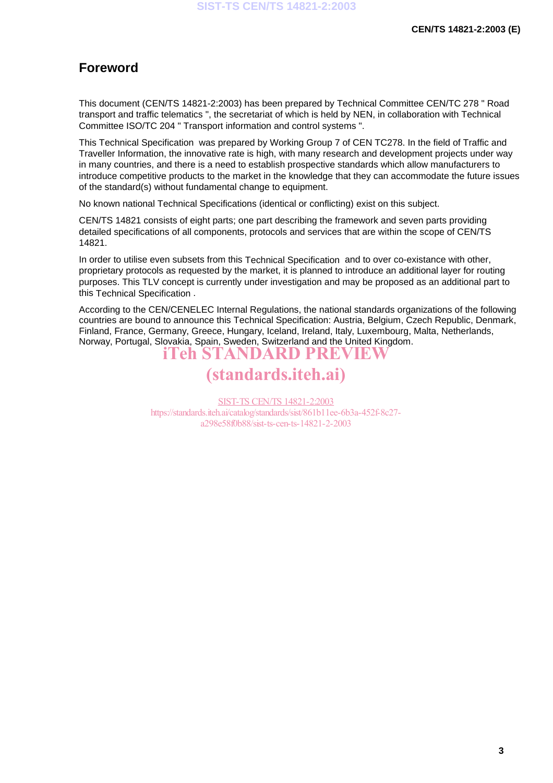## **Foreword**

This document (CEN/TS 14821-2:2003) has been prepared by Technical Committee CEN/TC 278 " Road transport and traffic telematics ", the secretariat of which is held by NEN, in collaboration with Technical Committee ISO/TC 204 " Transport information and control systems ".

This Technical Specification was prepared by Working Group 7 of CEN TC278. In the field of Traffic and Traveller Information, the innovative rate is high, with many research and development projects under way in many countries, and there is a need to establish prospective standards which allow manufacturers to introduce competitive products to the market in the knowledge that they can accommodate the future issues of the standard(s) without fundamental change to equipment.

No known national Technical Specifications (identical or conflicting) exist on this subject.

CEN/TS 14821 consists of eight parts; one part describing the framework and seven parts providing detailed specifications of all components, protocols and services that are within the scope of CEN/TS 14821.

In order to utilise even subsets from this Technical Specification and to over co-existance with other, proprietary protocols as requested by the market, it is planned to introduce an additional layer for routing purposes. This TLV concept is currently under investigation and may be proposed as an additional part to this Technical Specification .

According to the CEN/CENELEC Internal Regulations, the national standards organizations of the following countries are bound to announce this Technical Specification: Austria, Belgium, Czech Republic, Denmark, Finland, France, Germany, Greece, Hungary, Iceland, Ireland, Italy, Luxembourg, Malta, Netherlands, Norway, Portugal, Slovakia, Spain, Sweden, Switzerland and the United Kingdom.

## iTeh STANDARD PREVIEW (standards.iteh.ai)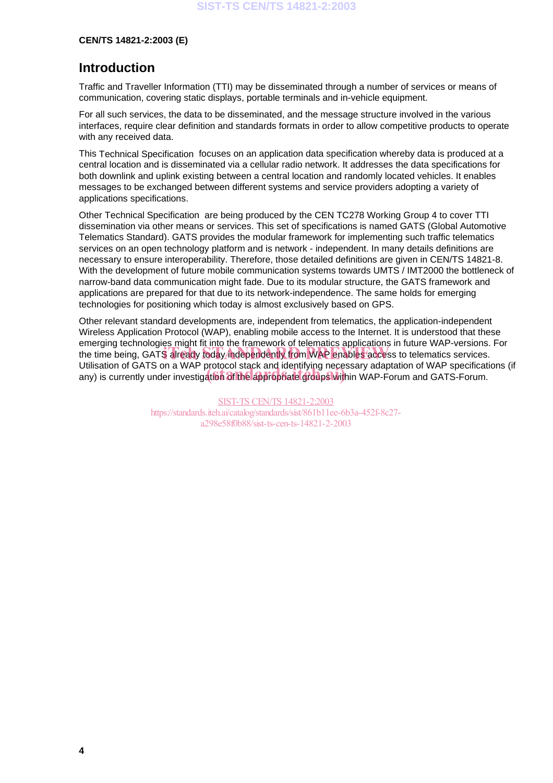#### **CEN/TS 14821-2:2003 (E)**

## **Introduction**

Traffic and Traveller Information (TTI) may be disseminated through a number of services or means of communication, covering static displays, portable terminals and in-vehicle equipment.

For all such services, the data to be disseminated, and the message structure involved in the various interfaces, require clear definition and standards formats in order to allow competitive products to operate with any received data.

This Technical Specification focuses on an application data specification whereby data is produced at a central location and is disseminated via a cellular radio network. It addresses the data specifications for both downlink and uplink existing between a central location and randomly located vehicles. It enables messages to be exchanged between different systems and service providers adopting a variety of applications specifications.

Other Technical Specification are being produced by the CEN TC278 Working Group 4 to cover TTI dissemination via other means or services. This set of specifications is named GATS (Global Automotive Telematics Standard). GATS provides the modular framework for implementing such traffic telematics services on an open technology platform and is network - independent. In many details definitions are necessary to ensure interoperability. Therefore, those detailed definitions are given in CEN/TS 14821-8. With the development of future mobile communication systems towards UMTS / IMT2000 the bottleneck of narrow-band data communication might fade. Due to its modular structure, the GATS framework and applications are prepared for that due to its network-independence. The same holds for emerging technologies for positioning which today is almost exclusively based on GPS.

Other relevant standard developments are, independent from telematics, the application-independent Wireless Application Protocol (WAP), enabling mobile access to the Internet. It is understood that these emerging technologies might fit into the framework of telematics applications in future WAP-versions. For the time being, GATS already today independently from WAP enables access to telematics services.<br>the time being, GATS already today independently from WAP enables access to telematics services. Utilisation of GATS on a WAP protocol stack and identifying necessary adaptation of WAP specifications (if Utilisation of GATS on a twaP protocol stack and identitying necessary adaptation of twaP specification.<br>any) is currently under investigation of the appropriate groups within WAP-Forum and GATS-Forum.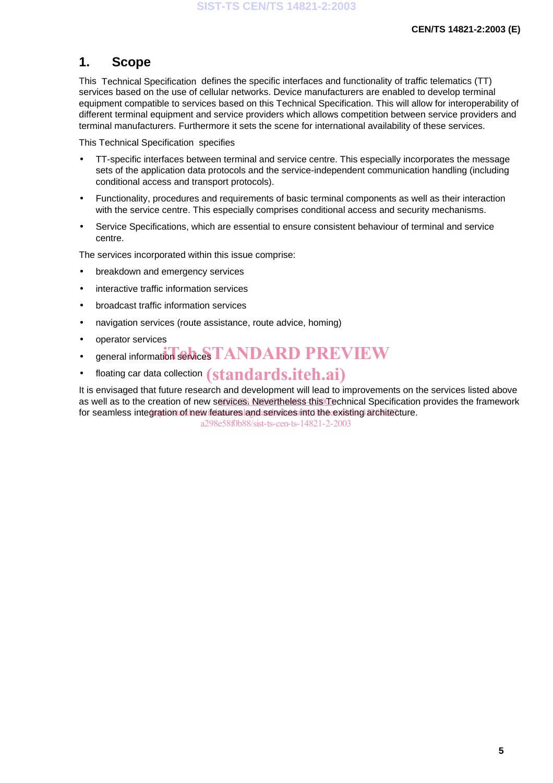### **1. Scope**

This Technical Specification defines the specific interfaces and functionality of traffic telematics (TT) services based on the use of cellular networks. Device manufacturers are enabled to develop terminal equipment compatible to services based on this Technical Specification. This will allow for interoperability of different terminal equipment and service providers which allows competition between service providers and terminal manufacturers. Furthermore it sets the scene for international availability of these services.

This Technical Specification specifies

- TT-specific interfaces between terminal and service centre. This especially incorporates the message sets of the application data protocols and the service-independent communication handling (including conditional access and transport protocols).
- Functionality, procedures and requirements of basic terminal components as well as their interaction with the service centre. This especially comprises conditional access and security mechanisms.
- Service Specifications, which are essential to ensure consistent behaviour of terminal and service centre.

The services incorporated within this issue comprise:

- breakdown and emergency services
- interactive traffic information services
- broadcast traffic information services
- navigation services (route assistance, route advice, homing)
- operator services
- general information services TANDARD PREVIEW
- floating car data collection  $(\mathrm{standard} s.\mathrm{iteh}.a i)$

It is envisaged that future research and development will lead to improvements on the services listed above as well as to the creation of new services. Nevertheless-this Technical Specification provides the framework for seamless integration of new features and services into the existing architecture.

a298e58f0b88/sist-ts-cen-ts-14821-2-2003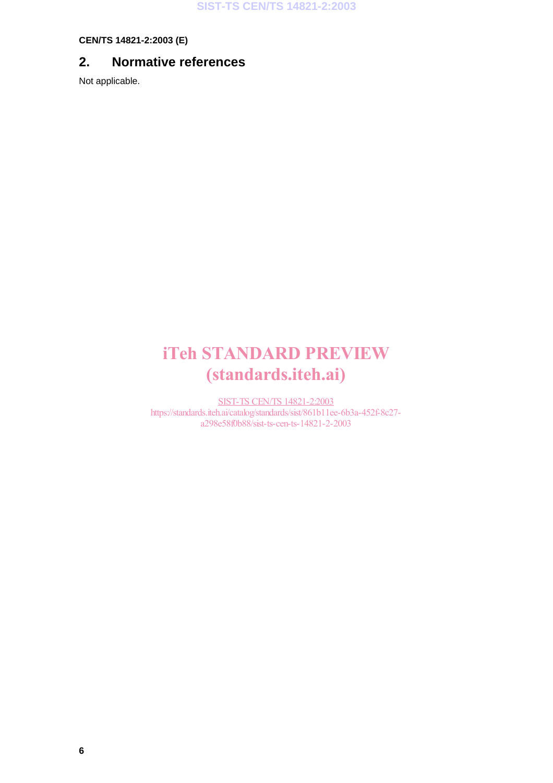**CEN/TS 14821-2:2003 (E)**

## **2. Normative references**

Not applicable.

# iTeh STANDARD PREVIEW (standards.iteh.ai)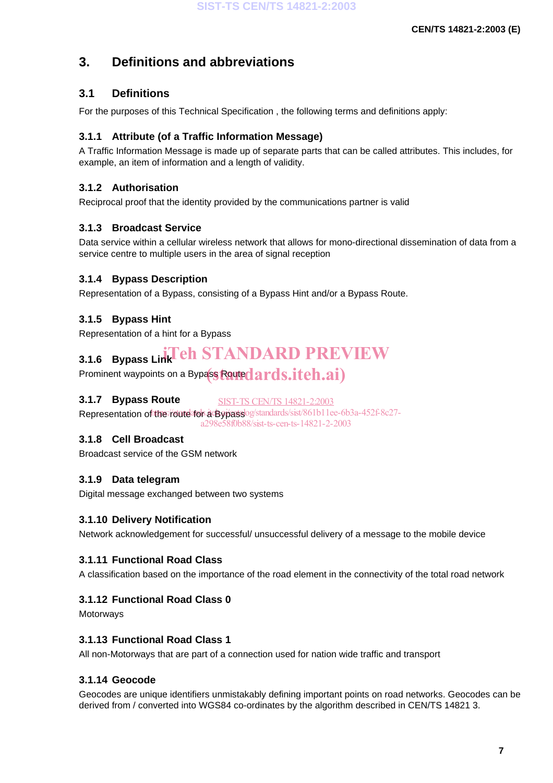## **3. Definitions and abbreviations**

### **3.1 Definitions**

For the purposes of this Technical Specification , the following terms and definitions apply:

#### **3.1.1 Attribute (of a Traffic Information Message)**

A Traffic Information Message is made up of separate parts that can be called attributes. This includes, for example, an item of information and a length of validity.

#### **3.1.2 Authorisation**

Reciprocal proof that the identity provided by the communications partner is valid

#### **3.1.3 Broadcast Service**

Data service within a cellular wireless network that allows for mono-directional dissemination of data from a service centre to multiple users in the area of signal reception

#### **3.1.4 Bypass Description**

Representation of a Bypass, consisting of a Bypass Hint and/or a Bypass Route.

#### **3.1.5 Bypass Hint**

Representation of a hint for a Bypass

# **3.1.6** Bypass Link Teh STANDARD PREVIEW

Prominent waypoints on a Bypass Routed ards.itch.ai)

#### **3.1.7 Bypass Route** SIST-TS CEN/TS 14821-2:2003

Representation of the route for a Bypass og/standards/sist/861b11ee-6b3a-452f-8c27a298e58f0b88/sist-ts-cen-ts-14821-2-2003

#### **3.1.8 Cell Broadcast**

Broadcast service of the GSM network

#### **3.1.9 Data telegram**

Digital message exchanged between two systems

#### **3.1.10 Delivery Notification**

Network acknowledgement for successful/ unsuccessful delivery of a message to the mobile device

#### **3.1.11 Functional Road Class**

A classification based on the importance of the road element in the connectivity of the total road network

#### **3.1.12 Functional Road Class 0**

**Motorways** 

#### **3.1.13 Functional Road Class 1**

All non-Motorways that are part of a connection used for nation wide traffic and transport

#### **3.1.14 Geocode**

Geocodes are unique identifiers unmistakably defining important points on road networks. Geocodes can be derived from / converted into WGS84 co-ordinates by the algorithm described in CEN/TS 14821 3.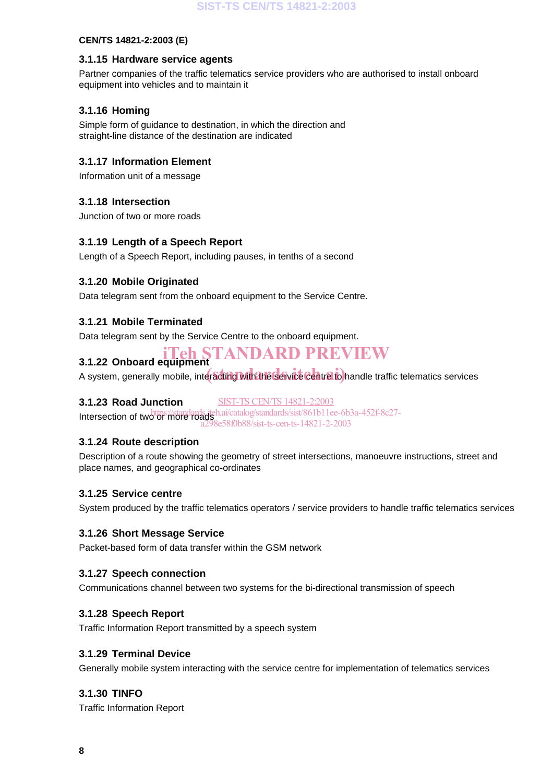#### **CEN/TS 14821-2:2003 (E)**

#### **3.1.15 Hardware service agents**

Partner companies of the traffic telematics service providers who are authorised to install onboard equipment into vehicles and to maintain it

#### **3.1.16 Homing**

Simple form of guidance to destination, in which the direction and straight-line distance of the destination are indicated

#### **3.1.17 Information Element**

Information unit of a message

#### **3.1.18 Intersection**

Junction of two or more roads

#### **3.1.19 Length of a Speech Report**

Length of a Speech Report, including pauses, in tenths of a second

#### **3.1.20 Mobile Originated**

Data telegram sent from the onboard equipment to the Service Centre.

#### **3.1.21 Mobile Terminated**

Data telegram sent by the Service Centre to the onboard equipment.

#### **3.1.22 Onboard equipment Teh STANDARD PREVIEW**

ond a system, generally mobile, interacting with the service central to handle traffic telematics services

#### **3.1.23 Road Junction** SIST-TS CEN/TS 14821-2:2003

Intersection of two or more roads, teh.ai/catalog/standards/sist/861b11ee-6b3a-452f-8c27-8e58f0b88/sist-ts-cen-ts-14821-2-2003

#### **3.1.24 Route description**

Description of a route showing the geometry of street intersections, manoeuvre instructions, street and place names, and geographical co-ordinates

#### **3.1.25 Service centre**

System produced by the traffic telematics operators / service providers to handle traffic telematics services

#### **3.1.26 Short Message Service**

Packet-based form of data transfer within the GSM network

#### **3.1.27 Speech connection**

Communications channel between two systems for the bi-directional transmission of speech

#### **3.1.28 Speech Report**

Traffic Information Report transmitted by a speech system

#### **3.1.29 Terminal Device**

Generally mobile system interacting with the service centre for implementation of telematics services

#### **3.1.30 TINFO**

Traffic Information Report